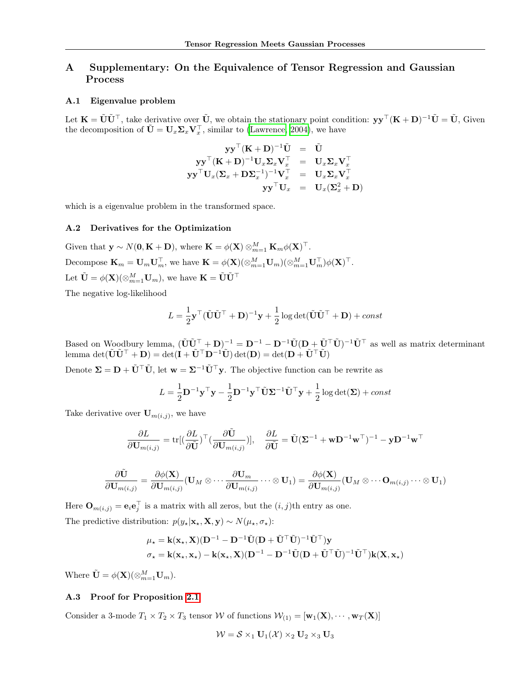# A Supplementary: On the Equivalence of Tensor Regression and Gaussian Process

## A.1 Eigenvalue problem

Let  $\mathbf{K} = \tilde{\mathbf{U}} \tilde{\mathbf{U}}^{\top}$ , take derivative over  $\tilde{\mathbf{U}}$ , we obtain the stationary point condition:  $\mathbf{y} \mathbf{y}^{\top} (\mathbf{K} + \mathbf{D})^{-1} \tilde{\mathbf{U}} = \tilde{\mathbf{U}}$ , Given the decomposition of  $\tilde{\mathbf{U}} = \mathbf{U}_x \mathbf{\Sigma}_x \mathbf{V}_x^{\top}$ , similar to [\(Lawrence, 2004\)](#page-0-0), we have

$$
\begin{array}{rcl} \mathbf{y}\mathbf{y}^\top(\mathbf{K}+\mathbf{D})^{-1}\tilde{\mathbf{U}} &=& \tilde{\mathbf{U}} \\ \mathbf{y}\mathbf{y}^\top(\mathbf{K}+\mathbf{D})^{-1}\mathbf{U}_x\mathbf{\Sigma}_x\mathbf{V}_x^\top &=& \mathbf{U}_x\mathbf{\Sigma}_x\mathbf{V}_x^\top \\ \mathbf{y}\mathbf{y}^\top\mathbf{U}_x(\mathbf{\Sigma}_x+\mathbf{D}\mathbf{\Sigma}_x^{-1})^{-1}\mathbf{V}_x^\top &=& \mathbf{U}_x\mathbf{\Sigma}_x\mathbf{V}_x^\top \\ && \mathbf{y}\mathbf{y}^\top\mathbf{U}_x &=& \mathbf{U}_x(\mathbf{\Sigma}_x^2+\mathbf{D}) \end{array}
$$

which is a eigenvalue problem in the transformed space.

### A.2 Derivatives for the Optimization

Given that  $\mathbf{y} \sim N(\mathbf{0}, \mathbf{K} + \mathbf{D})$ , where  $\mathbf{K} = \phi(\mathbf{X}) \otimes_{m=1}^{M} \mathbf{K}_{m} \phi(\mathbf{X})^{\top}$ . Decompose  $\mathbf{K}_m = \mathbf{U}_m \mathbf{U}_m^{\top}$ , we have  $\mathbf{K} = \phi(\mathbf{X})(\otimes_{m=1}^M \mathbf{U}_m)(\otimes_{m=1}^M \mathbf{U}_m^{\top})\phi(\mathbf{X})^{\top}$ . Let  $\tilde{\mathbf{U}} = \phi(\mathbf{X})(\otimes_{m=1}^{M} \mathbf{U}_{m})$ , we have  $\mathbf{K} = \tilde{\mathbf{U}} \tilde{\mathbf{U}}^{\top}$ 

The negative log-likelihood

<span id="page-0-3"></span>
$$
L = \frac{1}{2} \mathbf{y}^\top (\tilde{\mathbf{U}} \tilde{\mathbf{U}}^\top + \mathbf{D})^{-1} \mathbf{y} + \frac{1}{2} \log \det(\tilde{\mathbf{U}} \tilde{\mathbf{U}}^\top + \mathbf{D}) + const
$$

<span id="page-0-1"></span>Based on Woodbury lemma,  $(\tilde{\mathbf{U}}\tilde{\mathbf{U}}^{\top} + \mathbf{D})^{-1} = \mathbf{D}^{-1} - \mathbf{D}^{-1}\tilde{\mathbf{U}}(\mathbf{D} + \tilde{\mathbf{U}}^{\top}\tilde{\mathbf{U}})^{-1}\tilde{\mathbf{U}}^{\top}$  as well as matrix determinant lemma det $(\tilde{\mathbf{U}}\tilde{\mathbf{U}}^{\top} + \mathbf{D}) = \det(\mathbf{I} + \tilde{\mathbf{U}}^{\top}\mathbf{D}^{-1}\tilde{\mathbf{U}}) \det(\mathbf{D}) = \det(\mathbf{D} + \tilde{\mathbf{U}}^{\top}\tilde{\mathbf{U}})$ 

Denote  $\Sigma = D + \tilde{U}^\top \tilde{U}$ , let  $w = \Sigma^{-1} \tilde{U}^\top y$ . The objective function can be rewrite as

$$
L = \frac{1}{2} \mathbf{D}^{-1} \mathbf{y}^\top \mathbf{y} - \frac{1}{2} \mathbf{D}^{-1} \mathbf{y}^\top \tilde{\mathbf{U}} \mathbf{\Sigma}^{-1} \tilde{\mathbf{U}}^\top \mathbf{y} + \frac{1}{2} \log \det(\mathbf{\Sigma}) + const
$$

Take derivative over  $\mathbf{U}_{m(i,j)}$ , we have

$$
\frac{\partial L}{\partial \mathbf{U}_{m(i,j)}} = \text{tr}[(\frac{\partial L}{\partial \tilde{\mathbf{U}}})^{\top} (\frac{\partial \tilde{\mathbf{U}}}{\partial \mathbf{U}_{m(i,j)}})], \quad \frac{\partial L}{\partial \tilde{\mathbf{U}}} = \tilde{\mathbf{U}}(\mathbf{\Sigma}^{-1} + \mathbf{w} \mathbf{D}^{-1} \mathbf{w}^{\top})^{-1} - \mathbf{y} \mathbf{D}^{-1} \mathbf{w}^{\top}
$$

$$
\frac{\partial \tilde{\mathbf{U}}}{\partial \mathbf{U}_{m(i,j)}} = \frac{\partial \phi(\mathbf{X})}{\partial \mathbf{U}_{m(i,j)}} (\mathbf{U}_M \otimes \cdots \frac{\partial \mathbf{U}_m}{\partial \mathbf{U}_{m(i,j)}} \cdots \otimes \mathbf{U}_1) = \frac{\partial \phi(\mathbf{X})}{\partial \mathbf{U}_{m(i,j)}} (\mathbf{U}_M \otimes \cdots \mathbf{O}_{m(i,j)} \cdots \otimes \mathbf{U}_1)
$$

<span id="page-0-0"></span>Here  $\mathbf{O}_{m(i,j)} = \mathbf{e}_i \mathbf{e}_j^{\dagger}$  is a matrix with all zeros, but the  $(i, j)$ <sup>th</sup> entry as one. The predictive distribution:  $p(y_\star|\mathbf{x}_\star,\mathbf{X}, \mathbf{y}) \sim N(\mu_\star, \sigma_\star)$ :

$$
\mu_{\star} = \mathbf{k}(\mathbf{x}_{\star}, \mathbf{X})(\mathbf{D}^{-1} - \mathbf{D}^{-1}\tilde{\mathbf{U}}(\mathbf{D} + \tilde{\mathbf{U}}^{\top}\tilde{\mathbf{U}})^{-1}\tilde{\mathbf{U}}^{\top})\mathbf{y}
$$

$$
\sigma_{\star} = \mathbf{k}(\mathbf{x}_{\star}, \mathbf{x}_{\star}) - \mathbf{k}(\mathbf{x}_{\star}, \mathbf{X})(\mathbf{D}^{-1} - \mathbf{D}^{-1}\tilde{\mathbf{U}}(\mathbf{D} + \tilde{\mathbf{U}}^{\top}\tilde{\mathbf{U}})^{-1}\tilde{\mathbf{U}}^{\top})\mathbf{k}(\mathbf{X}, \mathbf{x}_{\star})
$$

Where  $\tilde{\mathbf{U}} = \phi(\mathbf{X})(\otimes_{m=1}^{M} \mathbf{U}_{m}).$ 

#### A.3 Proof for Proposition [2.1](#page-0-1)

<span id="page-0-2"></span>Consider a 3-mode  $T_1 \times T_2 \times T_3$  tensor *W* of functions  $W_{(1)} = [\mathbf{w}_1(\mathbf{X}), \cdots, \mathbf{w}_T(\mathbf{X})]$ 

$$
W = S \times_1 \mathbf{U}_1(\mathcal{X}) \times_2 \mathbf{U}_2 \times_3 \mathbf{U}_3
$$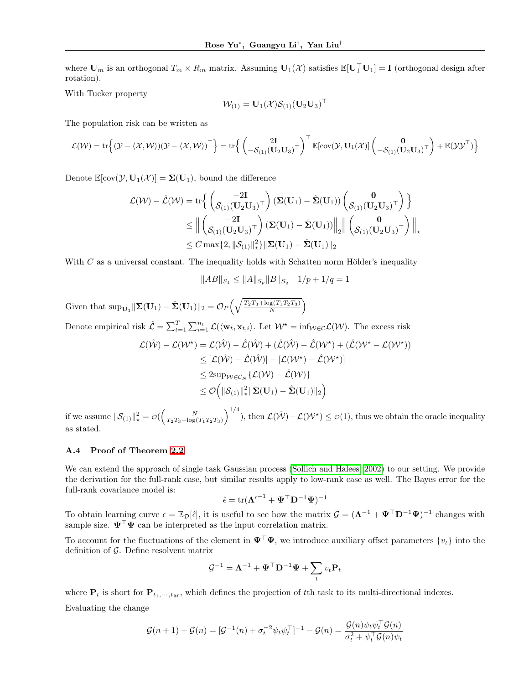where  $U_m$  is an orthogonal  $T_m \times R_m$  matrix. Assuming  $U_1(\mathcal{X})$  satisfies  $\mathbb{E}[U_1^{\top}U_1] = I$  (orthogonal design after rotation).

With Tucker property

$$
\mathcal{W}_{(1)} = \mathbf{U}_1(\mathcal{X})\mathcal{S}_{(1)}(\mathbf{U}_2\mathbf{U}_3)^{\top}
$$

The population risk can be written as

$$
\mathcal{L}(\mathcal{W}) = \text{tr}\Big\{ (\mathcal{Y} - \langle \mathcal{X}, \mathcal{W} \rangle) (\mathcal{Y} - \langle \mathcal{X}, \mathcal{W} \rangle)^{\top} \Big\} = \text{tr}\Big\{ \left( \begin{matrix} 2\mathbf{I} \\ -\mathcal{S}_{(1)}(\mathbf{U}_2\mathbf{U}_3)^{\top} \end{matrix} \right)^{\top} \mathbb{E}[\text{cov}(\mathcal{Y}, \mathbf{U}_1(\mathcal{X})] \left( \begin{matrix} \mathbf{0} \\ -\mathcal{S}_{(1)}(\mathbf{U}_2\mathbf{U}_3)^{\top} \end{matrix} \right) + \mathbb{E}(\mathcal{Y}\mathcal{Y}^{\top}) \Big\}
$$

Denote  $\mathbb{E}[\text{cov}(\mathcal{Y}, \mathbf{U}_1(\mathcal{X})] = \Sigma(\mathbf{U}_1)$ , bound the difference

$$
\begin{aligned} \mathcal{L}(\mathcal{W}) - \hat{\mathcal{L}}(\mathcal{W}) &= \mathrm{tr}\Big\{\begin{pmatrix} -2\mathbf{I} \\ \mathcal{S}_{(1)}(\mathbf{U}_2\mathbf{U}_3)^\top \end{pmatrix}(\boldsymbol{\Sigma}(\mathbf{U}_1) - \hat{\boldsymbol{\Sigma}}(\mathbf{U}_1))\begin{pmatrix} \mathbf{0} \\ \mathcal{S}_{(1)}(\mathbf{U}_2\mathbf{U}_3)^\top \end{pmatrix}\Big\} \\ & \leq \Big\|\begin{pmatrix} -2\mathbf{I} \\ \mathcal{S}_{(1)}(\mathbf{U}_2\mathbf{U}_3)^\top \end{pmatrix}(\boldsymbol{\Sigma}(\mathbf{U}_1) - \hat{\boldsymbol{\Sigma}}(\mathbf{U}_1))\Big\|_2\Big\|\begin{pmatrix} \mathbf{0} \\ \mathcal{S}_{(1)}(\mathbf{U}_2\mathbf{U}_3)^\top \end{pmatrix}\Big\|_\star \\ & \leq C\max\{2, \|\mathcal{S}_{(1)}\|_\star^2\}\|\boldsymbol{\Sigma}(\mathbf{U}_1) - \hat{\boldsymbol{\Sigma}}(\mathbf{U}_1)\|_2 \end{aligned}
$$

With *C* as a universal constant. The inequality holds with Schatten norm Hölder's inequality

 $\|AB\|_{S_1} \leq \|A\|_{S_n} \|B\|_{S_q}$   $1/p + 1/q = 1$ 

Given that  $\sup_{\mathbf{U}_1} \|\mathbf{\Sigma}(\mathbf{U}_1) - \hat{\mathbf{\Sigma}}(\mathbf{U}_1)\|_2 = \mathcal{O}_P\left(\sqrt{\frac{T_2T_3 + \log(T_1T_2T_3)}{N}}\right)$ ١

Denote empirical risk  $\hat{\mathcal{L}} = \sum_{t=1}^{T} \sum_{i=1}^{n_t} \mathcal{L}(\langle \mathbf{w}_t, \mathbf{x}_{t,i} \rangle)$ . Let  $\mathcal{W}^* = \inf_{\mathcal{W} \in \mathcal{C}} \mathcal{L}(\mathcal{W})$ . The excess risk

$$
\mathcal{L}(\hat{\mathcal{W}}) - \mathcal{L}(\mathcal{W}^*) = \mathcal{L}(\hat{\mathcal{W}}) - \hat{\mathcal{L}}(\hat{\mathcal{W}}) + (\hat{\mathcal{L}}(\hat{\mathcal{W}}) - \hat{\mathcal{L}}(\mathcal{W}^*) + (\hat{\mathcal{L}}(\mathcal{W}^* - \mathcal{L}(\mathcal{W}^*))
$$
  
\n
$$
\leq [\mathcal{L}(\hat{\mathcal{W}}) - \hat{\mathcal{L}}(\hat{\mathcal{W}})] - [\mathcal{L}(\mathcal{W}^*) - \hat{\mathcal{L}}(\mathcal{W}^*)]
$$
  
\n
$$
\leq 2 \sup_{\mathcal{W} \in \mathcal{C}_N} {\mathcal{L}(\mathcal{W}) - \hat{\mathcal{L}}(\mathcal{W})}
$$
  
\n
$$
\leq \mathcal{O}\Big(||\mathcal{S}_{(1)}||_*^2 ||\mathbf{\Sigma}(\mathbf{U}_1) - \hat{\mathbf{\Sigma}}(\mathbf{U}_1)||_2\Big)
$$

if we assume  $\|\mathcal{S}_{(1)}\|_{*}^{2} = \mathcal{O}\left(\frac{N}{T_2T_3 + \log(T_1T_2T_3)}\right)$  $\int^{1/4}$ ), then  $\mathcal{L}(\hat{\mathcal{W}}) - \mathcal{L}(\mathcal{W}^*) \leq \mathcal{O}(1)$ , thus we obtain the oracle inequality as stated.

### A.4 Proof of Theorem [2.2](#page-0-2)

We can extend the approach of single task Gaussian process (Sollich and Halees,  $2002$ ) to our setting. We provide the derivation for the full-rank case, but similar results apply to low-rank case as well. The Bayes error for the full-rank covariance model is:

$$
\hat{\epsilon} = \text{tr}(\boldsymbol{\Lambda}'^{-1} + \boldsymbol{\Psi}^\top \mathbf{D}^{-1} \boldsymbol{\Psi})^{-1}
$$

To obtain learning curve  $\epsilon = \mathbb{E}_{\mathcal{D}}[\hat{\epsilon}]$ , it is useful to see how the matrix  $\mathcal{G} = (\mathbf{\Lambda}^{-1} + \mathbf{\Psi}^{\top} \mathbf{D}^{-1} \mathbf{\Psi})^{-1}$  changes with sample size.  $\Psi^{\top}\Psi$  can be interpreted as the input correlation matrix.

To account for the fluctuations of the element in  $\Psi^{\top}\Psi$ , we introduce auxiliary offset parameters  $\{v_t\}$  into the definition of *G*. Define resolvent matrix

$$
\mathcal{G}^{-1} = \mathbf{\Lambda}^{-1} + \mathbf{\Psi}^{\top} \mathbf{D}^{-1} \mathbf{\Psi} + \sum_t v_t \mathbf{P}_t
$$

where  $P_t$  is short for  $P_{t_1,\dots,t_M}$ , which defines the projection of the task to its multi-directional indexes.

Evaluating the change

$$
\mathcal{G}(n+1) - \mathcal{G}(n) = [\mathcal{G}^{-1}(n) + \sigma_t^{-2} \psi_t \psi_t^{\top}]^{-1} - \mathcal{G}(n) = \frac{\mathcal{G}(n)\psi_t \psi_t^{\top} \mathcal{G}(n)}{\sigma_t^2 + \psi_t^{\top} \mathcal{G}(n)\psi_t}
$$